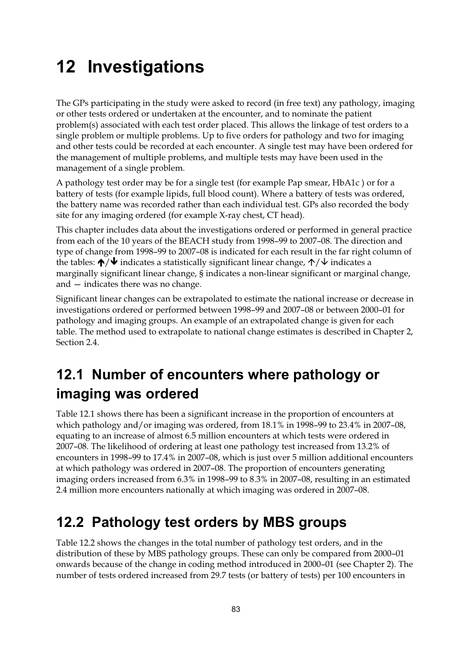## **12 Investigations**

The GPs participating in the study were asked to record (in free text) any pathology, imaging or other tests ordered or undertaken at the encounter, and to nominate the patient problem(s) associated with each test order placed. This allows the linkage of test orders to a single problem or multiple problems. Up to five orders for pathology and two for imaging and other tests could be recorded at each encounter. A single test may have been ordered for the management of multiple problems, and multiple tests may have been used in the management of a single problem.

A pathology test order may be for a single test (for example Pap smear, HbA1c ) or for a battery of tests (for example lipids, full blood count). Where a battery of tests was ordered, the battery name was recorded rather than each individual test. GPs also recorded the body site for any imaging ordered (for example X-ray chest, CT head).

This chapter includes data about the investigations ordered or performed in general practice from each of the 10 years of the BEACH study from 1998–99 to 2007–08. The direction and type of change from 1998–99 to 2007–08 is indicated for each result in the far right column of the tables:  $\bigwedge^{\bullet} \blacklozenge$  indicates a statistically significant linear change,  $\bigwedge^{\bullet} \blacktriangleright$  indicates a marginally significant linear change, § indicates a non-linear significant or marginal change, and — indicates there was no change.

Significant linear changes can be extrapolated to estimate the national increase or decrease in investigations ordered or performed between 1998–99 and 2007–08 or between 2000–01 for pathology and imaging groups. An example of an extrapolated change is given for each table. The method used to extrapolate to national change estimates is described in Chapter 2, Section 2.4.

## **12.1 Number of encounters where pathology or imaging was ordered**

Table 12.1 shows there has been a significant increase in the proportion of encounters at which pathology and/or imaging was ordered, from 18.1% in 1998–99 to 23.4% in 2007–08, equating to an increase of almost 6.5 million encounters at which tests were ordered in 2007–08. The likelihood of ordering at least one pathology test increased from 13.2% of encounters in 1998–99 to 17.4% in 2007–08, which is just over 5 million additional encounters at which pathology was ordered in 2007–08. The proportion of encounters generating imaging orders increased from 6.3% in 1998–99 to 8.3% in 2007–08, resulting in an estimated 2.4 million more encounters nationally at which imaging was ordered in 2007–08.

## **12.2 Pathology test orders by MBS groups**

Table 12.2 shows the changes in the total number of pathology test orders, and in the distribution of these by MBS pathology groups. These can only be compared from 2000–01 onwards because of the change in coding method introduced in 2000–01 (see Chapter 2). The number of tests ordered increased from 29.7 tests (or battery of tests) per 100 encounters in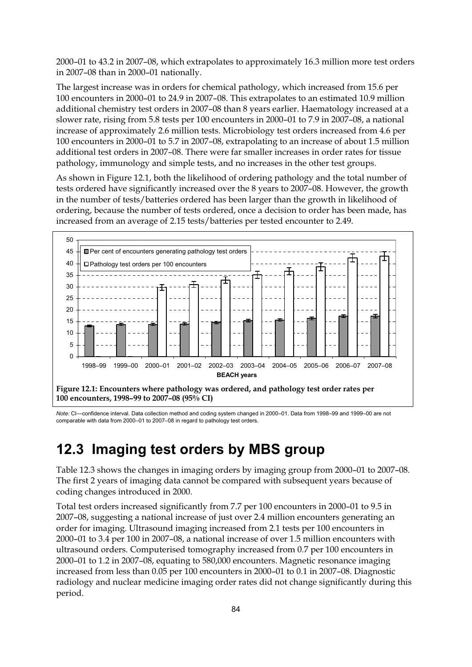2000–01 to 43.2 in 2007–08, which extrapolates to approximately 16.3 million more test orders in 2007–08 than in 2000–01 nationally.

The largest increase was in orders for chemical pathology, which increased from 15.6 per 100 encounters in 2000–01 to 24.9 in 2007–08. This extrapolates to an estimated 10.9 million additional chemistry test orders in 2007–08 than 8 years earlier. Haematology increased at a slower rate, rising from 5.8 tests per 100 encounters in 2000–01 to 7.9 in 2007–08, a national increase of approximately 2.6 million tests. Microbiology test orders increased from 4.6 per 100 encounters in 2000–01 to 5.7 in 2007–08, extrapolating to an increase of about 1.5 million additional test orders in 2007–08. There were far smaller increases in order rates for tissue pathology, immunology and simple tests, and no increases in the other test groups.

As shown in Figure 12.1, both the likelihood of ordering pathology and the total number of tests ordered have significantly increased over the 8 years to 2007–08. However, the growth in the number of tests/batteries ordered has been larger than the growth in likelihood of ordering, because the number of tests ordered, once a decision to order has been made, has increased from an average of 2.15 tests/batteries per tested encounter to 2.49.



*Note:* CI—confidence interval. Data collection method and coding system changed in 2000–01. Data from 1998–99 and 1999–00 are not comparable with data from 2000–01 to 2007–08 in regard to pathology test orders.

## **12.3 Imaging test orders by MBS group**

Table 12.3 shows the changes in imaging orders by imaging group from 2000–01 to 2007–08. The first 2 years of imaging data cannot be compared with subsequent years because of coding changes introduced in 2000.

Total test orders increased significantly from 7.7 per 100 encounters in 2000–01 to 9.5 in 2007–08, suggesting a national increase of just over 2.4 million encounters generating an order for imaging. Ultrasound imaging increased from 2.1 tests per 100 encounters in 2000–01 to 3.4 per 100 in 2007–08, a national increase of over 1.5 million encounters with ultrasound orders. Computerised tomography increased from 0.7 per 100 encounters in 2000–01 to 1.2 in 2007–08, equating to 580,000 encounters. Magnetic resonance imaging increased from less than 0.05 per 100 encounters in 2000–01 to 0.1 in 2007–08. Diagnostic radiology and nuclear medicine imaging order rates did not change significantly during this period.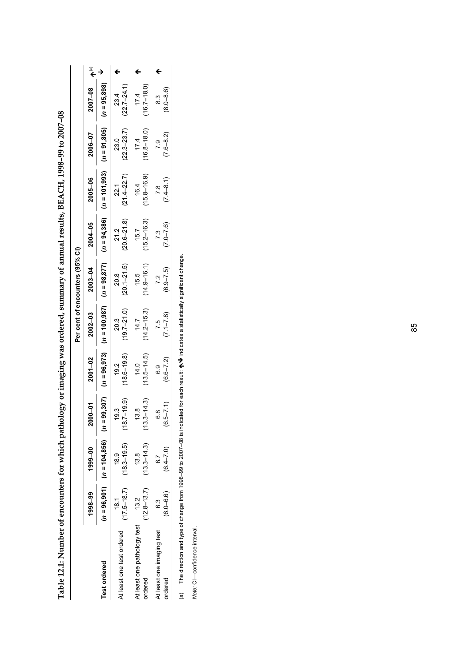| 1998-99                                                              |                                   |                    |                         |                         | Per cent of encounters (95% CI) |                         |                                                                                                      |                                 |                         |  |
|----------------------------------------------------------------------|-----------------------------------|--------------------|-------------------------|-------------------------|---------------------------------|-------------------------|------------------------------------------------------------------------------------------------------|---------------------------------|-------------------------|--|
|                                                                      | 1999-00                           | 2000-01            | $2001 - 02$             | $2002 - 03$             | 2003-04                         | 2004-05                 | 2005-06                                                                                              | 2006-07                         | $2007 - 08$             |  |
| $(n = 96,901)$ $(n = 104,856)$ $(n = 9$<br><b>Test ordered</b>       |                                   | (20.907)           |                         |                         |                                 |                         | (n = 96,805, m = 91,800, m = 91,200, m = 91,27,200, 12,27,200, 12,200, 12,000, 12,000, 12,000, 12,00 |                                 |                         |  |
| $(17.5 - 18.7)$<br>$\frac{8}{1}$<br>At least one test ordered        | $(18.3 - 19.5)$<br>18.9           | $(18.7 - 19.9)$    | $(18.6 - 19.8)$<br>192  | $(19.7 - 21.0)$<br>20.3 | $(20.1 - 21.5)$<br>20.8         | $(20.6 - 21.8)$<br>21.2 | $(21.4 - 22.7)$<br>22.1                                                                              | $(22.3 - 23.7)$<br>23.0         | $(22.7 - 24.1)$<br>23.4 |  |
| $(12.8 - 13.7)$<br>At least one pathology test 13.2<br>ordered       | $(13.3 - 14.3)$<br>13.8           | $(13.3 - 14.3)$    | $(13.5 - 14.5)$<br>14.0 | $(14.2 - 15.3)$<br>14.7 | $(14.9 - 16.1)$<br>15.5         | $(15.2 - 16.3)$<br>15.7 | $(15.8 - 16.9)$<br>16.4                                                                              | $(16.8 - 18.0)$<br>17.4         | $(16.7 - 18.0)$<br>17.4 |  |
| $(6.0 - 6.6)$<br>.<br>ს<br>ს<br>At least one imaging test<br>ordered | $(6.4 - 7.0)$<br>$\overline{6}$ . | $(6.5 - 7.1)$<br>∞ | $(6.6 - 7.2)$<br>6.9    | $(7.1 - 7.8)$<br>75     | $(6.9 - 7.5)$<br>72             | $(7.0 - 7.6)$<br>73     | $(7.4 - 8.1)$<br>$\overline{7}$ .8                                                                   | $(7.6 - 8.2)$<br>$\overline{0}$ | $(8.0 - 8.6)$<br>.<br>ထ |  |

Table 12.1: Number of encounters for which pathology or imaging was ordered, summary of annual results, BEACH, 1998-99 to 2007-08 **Table 12.1: Number of encounters for which pathology or imaging was ordered, summary of annual results, BEACH, 1998–99 to 2007–08**

(a) The direction and type of change from 1998-99 to 2007-08 is indicated for each result:  $\bigwedge' \bigvee$  indicates a statistically significant change.  $\forall$  indicates a statistically significant change. (a) The direction and type of change from 1998–99 to 2007–08 is indicated for each result:  $\spadesuit$ 

Note: CI-confidence interval. *Note:* CI—confidence interval.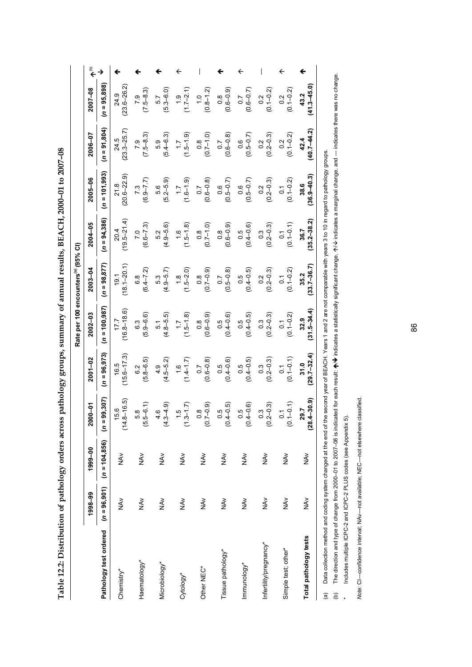| co model , you code international<br>$\frac{1}{2}$ |
|----------------------------------------------------|
|                                                    |
|                                                    |
|                                                    |
|                                                    |
|                                                    |
|                                                    |
|                                                    |
| ו<br>ו                                             |
|                                                    |
|                                                    |
|                                                    |
|                                                    |
|                                                    |
|                                                    |
|                                                    |
|                                                    |
|                                                    |
|                                                    |
|                                                    |
|                                                    |
|                                                    |
|                                                    |
| こうりょう うちゃくりょう ようしょうりょうりょうりょう                       |
|                                                    |
|                                                    |
|                                                    |
|                                                    |
|                                                    |
|                                                    |
|                                                    |
|                                                    |
|                                                    |
| ׇ֚֘֡                                               |
|                                                    |
|                                                    |
|                                                    |
|                                                    |
|                                                    |
|                                                    |
|                                                    |
|                                                    |
|                                                    |
|                                                    |
| ĺ                                                  |
|                                                    |
|                                                    |
|                                                    |
|                                                    |
|                                                    |
|                                                    |
|                                                    |
|                                                    |
|                                                    |
|                                                    |
| j                                                  |
|                                                    |
|                                                    |
|                                                    |
|                                                    |
| <b>Additional</b>                                  |
|                                                    |
|                                                    |
|                                                    |
|                                                    |
|                                                    |
|                                                    |
|                                                    |
|                                                    |
|                                                    |
|                                                    |
|                                                    |
|                                                    |
|                                                    |
|                                                    |
|                                                    |
|                                                    |
|                                                    |

|                                                                                                               |                     |                        |                                 |                                   | Rate per 100 encounters <sup>(a)</sup> (95% CI) |                                   |                                   |                                                 |                                   |                                 |                      |
|---------------------------------------------------------------------------------------------------------------|---------------------|------------------------|---------------------------------|-----------------------------------|-------------------------------------------------|-----------------------------------|-----------------------------------|-------------------------------------------------|-----------------------------------|---------------------------------|----------------------|
|                                                                                                               | 1998-99             | 1999-00                | $-00$<br>ຊ                      | $2001 - 02$                       | $2002 - 03$                                     | 2003-04                           | 2004-05                           | 2005-06                                         | 2006-07                           | 2007-08                         | $\widehat{\epsilon}$ |
| Pathology test ordered                                                                                        | $(n = 96, 901)$     | $(n = 104, 856)$       | 99,307)<br>$\bar{a}$            | $(n = 96, 973)$                   | $(n = 100, 987)$                                | $(n = 98, 877)$                   | $(n = 94, 386)$                   | $(n = 101, 993)$                                | $(n = 91,804)$                    | $(n = 95,898)$                  |                      |
| Chemistry*                                                                                                    | $\frac{\lambda}{2}$ | $\sum_{i=1}^{n}$       | $8 - 16.5$<br>15.6<br>(14)      | $(15.6 - 17.3)$<br>16.5           | $(16.8 - 18.6)$<br>17.7                         | $(18.1 - 20.1)$<br>19.1           | $(19.5 - 21.4)$<br>20.4           | $(20.6 - 22.9)$<br>21.8                         | $(23.3 - 25.7)$<br>24.5           | $(23.6 - 26.2)$<br>24.9         |                      |
| Haematology*                                                                                                  | N<br>Av             | $\frac{\lambda}{2}$    | $.5 - 6.1$<br>5.8<br>তি<br>     | $(5.8 - 6.5)$<br>6.2              | $(5.9 - 6.6)$<br>6.3                            | $(6.4 - 7.2)$<br>6.8              | $(6.6 - 7.3)$<br>7.0              | $(6.9 - 7.7)$                                   | $(7.5 - 8.3)$<br>7.9              | $(7.5 - 8.3)$<br>7.9            |                      |
| Microbiology*                                                                                                 | NAV                 | $\frac{\lambda}{2}$    | $3 - 4.9$<br>4.6<br>4.          | $(4.5 - 5.2)$<br>4.9              | $(4.8 - 5.5)$<br>5.1                            | $(4.9 - 5.7)$<br>5.3              | $(4.9 - 5.6)$<br>52               | $(5.2 - 5.9)$<br>5.6                            | $(5.4 - 6.3)$<br>5.9              | $(5.3 - 6.0)$<br>5.7            |                      |
| Cytology*                                                                                                     | $\frac{\lambda}{2}$ | $\frac{\lambda}{2}$    | $3 - 1.7$<br>ć.<br>É            | $(1.4 - 1.7)$<br>$\frac{6}{1}$    | $(1.5 - 1.8)$<br>$\ddot{ }$ :                   | $(1.5 - 2.0)$<br>$\frac{8}{1}$    | $(1.5 - 1.8)$<br>$\frac{6}{1}$    | $(1.6 - 1.9)$<br>$\ddot{ }$ :                   | $(1.5 - 1.9)$<br>$\ddot{ }$ :     | $(1.7-2.1)$                     |                      |
| Other NEC*                                                                                                    | $\frac{2}{3}$       | $\frac{2}{5}$          | $7 - 0.9$<br>$\frac{8}{2}$<br>S | $(0.6 - 0.8)$<br>0.7              | $(0.6 - 0.9)$<br>$0.\overline{8}$               | $(0.7 - 0.9)$<br>$0.\overline{8}$ | $(0.7 - 1.0)$<br>$0.\overline{8}$ | $(0.6 - 0.8)$                                   | $(0.7 - 1.0)$<br>$\overline{0}$ . | $(0.8 - 1.2)$<br>$\frac{0}{1}$  |                      |
| Tissue pathology*                                                                                             | NAV<br>Z            | $\frac{2}{5}$          | $4 - 0.5$<br>0.5<br>ë           | $(0.4 - 0.6)$<br>0.5              | $(0.4 - 0.6)$<br>0.5                            | $(0.5 - 0.8)$<br>$\sim$           | $(0.6 - 0.9)$<br>$0.\overline{8}$ | $(0.5 - 0.7)$                                   | $(0.6 - 0.8)$<br>$\overline{0}$ . | $(0.6 - 0.9)$<br>$\frac{8}{10}$ |                      |
| Immunology*                                                                                                   | $\frac{\lambda}{2}$ | $\frac{\lambda}{2}$    | $4 - 0.6$<br>0.5<br>S           | $(0.4 - 0.5)$<br>0.5              | $(0.4 - 0.5)$<br>0.5                            | $(0.4 - 0.5)$<br>0.5              | $(0.4 - 0.6)$<br>0.5              | $(0.5 - 0.7)$<br>0.6                            | $(0.5 - 0.7)$<br>0.6              | $(0.6 - 0.7)$                   |                      |
| Infertility/pregnancy*                                                                                        | NAv                 | $\tilde{\mathfrak{F}}$ | $2 - 0.3$<br>$\frac{3}{2}$<br>ë | $(0.2 - 0.3)$<br>$0.\overline{3}$ | $(0.2 - 0.3)$<br>$0.\overline{3}$               | $(0.2 - 0.3)$<br>0.2              | $(0.2 - 0.3)$<br>$0.\overline{3}$ | $\begin{array}{c} 0.2 \\ 0.2 - 0.3 \end{array}$ | $0.2$<br>$(0.2 - 0.3)$            | $(0.1 - 0.2)$<br>0.2            |                      |
| Simple test; other*                                                                                           | NA <sub>V</sub>     | $\sum_{i=1}^{n}$       | $(1 - 0.1)$<br>Σ,<br>S          | $(0.1 - 0.1)$<br>$\overline{0}$   | $(0.1 - 0.2)$<br>$\overline{0}$                 | $(0.1 - 0.2)$<br>$\overline{0}$   | $(0.1 - 0.1)$<br>$\tilde{\circ}$  | $(0.1 - 0.2)$<br>$\overline{c}$                 | $(0.1 - 0.2)$<br>0.2              | $(0.1 - 0.2)$<br>$\frac{2}{3}$  |                      |
| Total pathology tests                                                                                         | $\frac{8}{2}$       | NA <sub>V</sub>        | $(-30.9)$<br>29.7<br><u>g</u>   | $(29.7 - 32.4)$<br>31.0           | $(31.5 - 34.4)$<br>32.9                         | $(33.7 - 36.7)$<br>35.2           | $(35.2 - 38.2)$<br>36.7           | $(36.9 - 40.3)$<br>38.6                         | $40.7 - 44.2$<br>42.4             | $41.3 - 45.0$<br>43.2           |                      |
| الاقطام المحام المتقاطع المحاملة مستحقين والمتالون المحافظ والمحافظ والمتعالم وقداما<br>$\tilde{\mathcal{L}}$ |                     |                        |                                 | ו<br>הר ^ הו                      |                                                 |                                   |                                   |                                                 |                                   |                                 |                      |

Data collection method and coding system changed at the end of the second year of BEACH. Years 1 and 2 are not comparable with years 3 to 10 in regard to pathology groups. (a) Data collection method and coding system changed at the end of the second year of BEACH. Years 1 and 2 are not comparable with years 3 to 10 in regard to pathology groups.

The direction and type of change from 2000-01 to 2007-08 is indicated for each result: A/V indicates a statistically significant change, A/V indicates a marginal change, and -- indicates there was no change.  $\bm{\psi}$  indicates a statistically significant change,  $\tau \! \! \! \gamma \! \! \! \! \! \nu$  indicates a marginal change, and — indicates there was no change. (b) The direction and type of change from 2000–01 to 2007–08 is indicated for each result:  $\spadesuit$ Includes multiple ICPC-2 and ICPC-2 PLUS codes (see Appendix 5). \* Includes multiple ICPC-2 and ICPC-2 PLUS codes (see Appendix 5).  $\overline{6}$   $\overline{6}$   $\overline{6}$ 

Note: CI-confidence interval; NAv-not available; NEC-not elsewhere classified. *Note:* CI—confidence interval; NAv—not available; NEC—not elsewhere classified.